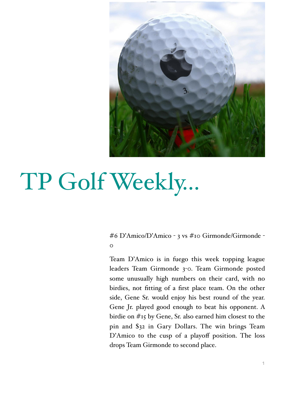

# TP Golf Weekly…

#6 D'Amico/D'Amico - 3 vs #10 Girmonde/Girmonde -  $\circ$ 

Team D'Amico is in fuego this week topping league leaders Team Girmonde 3-0. Team Girmonde posted some unusually high numbers on their card, with no birdies, not fitting of a first place team. On the other side, Gene Sr. would enjoy his best round of the year. Gene Jr. played good enough to beat his opponent. A birdie on #15 by Gene, Sr. also earned him closest to the pin and \$32 in Gary Dollars. The win brings Team D'Amico to the cusp of a playoff position. The loss drops Team Girmonde to second place.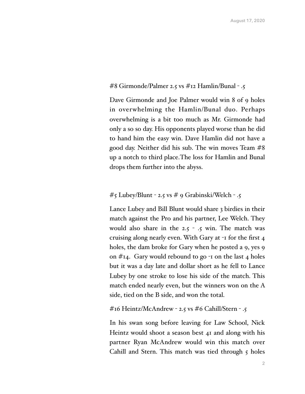#### #8 Girmonde/Palmer 2.5 vs #12 Hamlin/Bunal - .5

Dave Girmonde and Joe Palmer would win 8 of 9 holes in overwhelming the Hamlin/Bunal duo. Perhaps overwhelming is a bit too much as Mr. Girmonde had only a so so day. His opponents played worse than he did to hand him the easy win. Dave Hamlin did not have a good day. Neither did his sub. The win moves Team #8 up a notch to third place.The loss for Hamlin and Bunal drops them further into the abyss.

## #5 Lubey/Blunt - 2.5 vs # 9 Grabinski/Welch - .5

Lance Lubey and Bill Blunt would share 3 birdies in their match against the Pro and his partner, Lee Welch. They would also share in the  $2.5 - .5$  win. The match was cruising along nearly even. With Gary at -1 for the first 4 holes, the dam broke for Gary when he posted a 9, yes 9 on  $\#$ 14. Gary would rebound to go  $\neg$  on the last 4 holes but it was a day late and dollar short as he fell to Lance Lubey by one stroke to lose his side of the match. This match ended nearly even, but the winners won on the A side, tied on the B side, and won the total.

#16 Heintz/McAndrew - 2.5 vs #6 Cahill/Stern - .5

In his swan song before leaving for Law School, Nick Heintz would shoot a season best 41 and along with his partner Ryan McAndrew would win this match over Cahill and Stern. This match was tied through  $5$  holes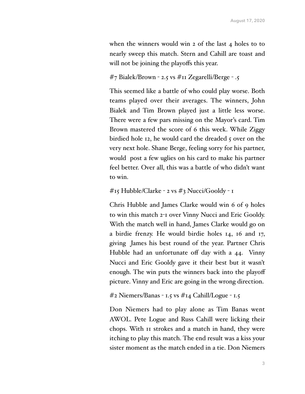when the winners would win 2 of the last  $4$  holes to to nearly sweep this match. Stern and Cahill are toast and will not be joining the playoffs this year.

### #7 Bialek/Brown - 2.5 vs #11 Zegarelli/Berge - .5

This seemed like a battle of who could play worse. Both teams played over their averages. The winners, John Bialek and Tim Brown played just a little less worse. There were a few pars missing on the Mayor's card. Tim Brown mastered the score of 6 this week. While Ziggy birdied hole 12, he would card the dreaded 5 over on the very next hole. Shane Berge, feeling sorry for his partner, would post a few uglies on his card to make his partner feel better. Over all, this was a battle of who didn't want to win.

#15 Hubble/Clarke - 2 vs #3 Nucci/Gooldy - 1

Chris Hubble and James Clarke would win 6 of 9 holes to win this match 2-1 over Vinny Nucci and Eric Gooldy. With the match well in hand, James Clarke would go on a birdie frenzy. He would birdie holes 14, 16 and 17, giving James his best round of the year. Partner Chris Hubble had an unfortunate off day with a 44. Vinny Nucci and Eric Gooldy gave it their best but it wasn't enough. The win puts the winners back into the playoff picture. Vinny and Eric are going in the wrong direction.

```
#2 Niemers/Banas - 1.5 vs #14 Cahill/Logue - 1.5
```
Don Niemers had to play alone as Tim Banas went AWOL. Pete Logue and Russ Cahill were licking their chops. With 11 strokes and a match in hand, they were itching to play this match. The end result was a kiss your sister moment as the match ended in a tie. Don Niemers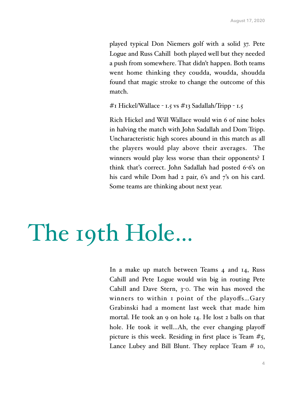played typical Don Niemers golf with a solid 37. Pete Logue and Russ Cahill both played well but they needed a push from somewhere. That didn't happen. Both teams went home thinking they coudda, woudda, shoudda found that magic stroke to change the outcome of this match.

#1 Hickel/Wallace - 1.5 vs #13 Sadallah/Tripp - 1.5

Rich Hickel and Will Wallace would win 6 of nine holes in halving the match with John Sadallah and Dom Tripp. Uncharacteristic high scores abound in this match as all the players would play above their averages. The winners would play less worse than their opponents? I think that's correct. John Sadallah had posted 6-6's on his card while Dom had 2 pair, 6's and 7's on his card. Some teams are thinking about next year.

# The 19th Hole…

In a make up match between Teams 4 and 14, Russ Cahill and Pete Logue would win big in routing Pete Cahill and Dave Stern, 3-0. The win has moved the winners to within 1 point of the playoffs…Gary Grabinski had a moment last week that made him mortal. He took an 9 on hole 14. He lost 2 balls on that hole. He took it well...Ah, the ever changing playoff picture is this week. Residing in first place is Team  $#5$ , Lance Lubey and Bill Blunt. They replace Team # 10,